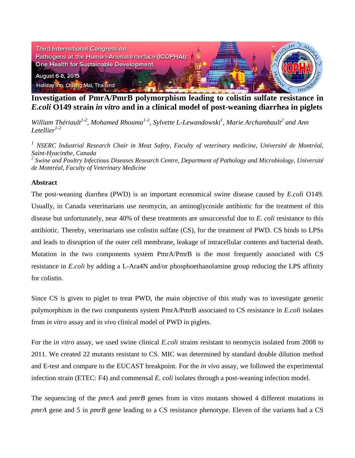

**Investigation of PmrA/PmrB polymorphism leading to colistin sulfate resistance in**  *E.coli* **O149 strain** *in vitro* **and in a clinical model of post-weaning diarrhea in piglets**

*William Thériault<sup>1-2</sup>, Mohamed Rhouma<sup>1-2</sup>, Sylvette L-Lewandowski<sup>1</sup>, Marie Archambault<sup>2</sup> and Ann Letellier1-2*

*<sup>1</sup> NSERC Industrial Research Chair in Meat Safety, Faculty of veterinary medicine, Université de Montréal, Saint-Hyacinthe, Canada*

*<sup>2</sup> Swine and Poultry Infectious Diseases Research Centre, Department of Pathology and Microbiology, Université de Montréal, Faculty of Veterinary Medicine*

## **Abstract**

The post-weaning diarrhea (PWD) is an important economical swine disease caused by *E.coli* O149. Usually, in Canada veterinarians use neomycin, an aminoglycoside antibiotic for the treatment of this disease but unfortunately, near 40% of these treatments are unsuccessful due to *E. coli* resistance to this antibiotic. Thereby, veterinarians use colistin sulfate (CS), for the treatment of PWD. CS binds to LPSs and leads to disruption of the outer cell membrane, leakage of intracellular contents and bacterial death. Mutation in the two components system PmrA/PmrB is the most frequently associated with CS resistance in *E.coli* by adding a L-Ara4N and/or phosphoethanolamine group reducing the LPS affinity for colistin.

Since CS is given to piglet to treat PWD, the main objective of this study was to investigate genetic polymorphism in the two components system PmrA/PmrB associated to CS resistance in *E.coli* isolates from *in vitro* assay and in *vivo* clinical model of PWD in piglets.

For the i*n vitro* assay, we used swine clinical *E.coli* strains resistant to neomycin isolated from 2008 to 2011. We created 22 mutants resistant to CS. MIC was determined by standard double dilution method and E-test and compare to the EUCAST breakpoint. For the *in vivo* assay, we followed the experimental infection strain (ETEC: F4) and commensal *E. coli* isolates through a post-weaning infection model.

The sequencing of the *pmrA* and *pmrB* genes from in vitro mutants showed 4 different mutations in *pmrA* gene and 5 in *pmrB* gene leading to a CS resistance phenotype. Eleven of the variants had a CS